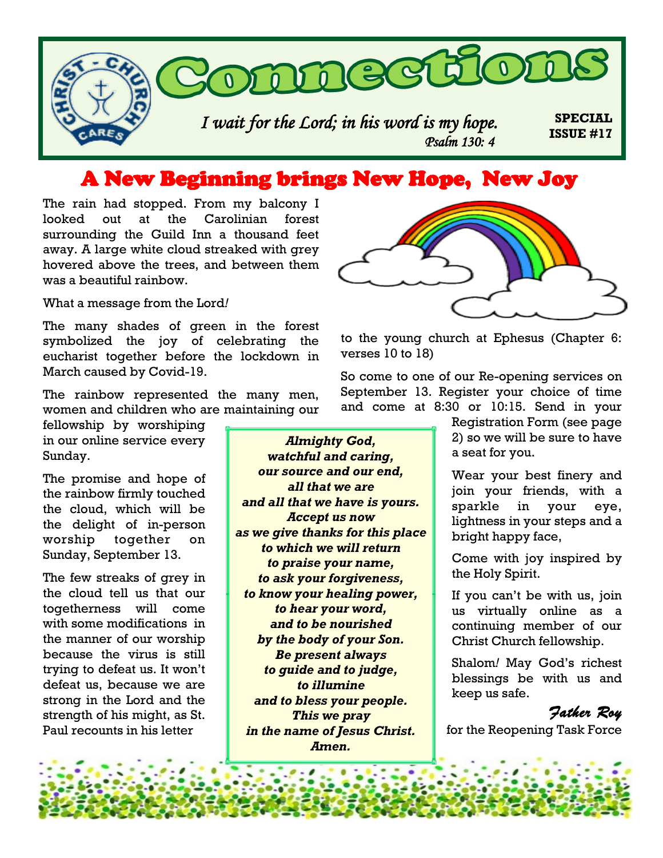

## A New Beginning brings New Hope, New Joy

The rain had stopped. From my balcony I looked out at the Carolinian forest surrounding the Guild Inn a thousand feet away. A large white cloud streaked with grey hovered above the trees, and between them was a beautiful rainbow.

What a message from the Lord*!*

The many shades of green in the forest symbolized the joy of celebrating the eucharist together before the lockdown in March caused by Covid-19.

The rainbow represented the many men, women and children who are maintaining our

fellowship by worshiping in our online service every Sunday.

The promise and hope of the rainbow firmly touched the cloud, which will be the delight of in-person worship together on Sunday, September 13.

The few streaks of grey in the cloud tell us that our togetherness will come with some modifications in the manner of our worship because the virus is still trying to defeat us. It won't defeat us, because we are strong in the Lord and the strength of his might, as St. Paul recounts in his letter

*Almighty God, watchful and caring, our source and our end, all that we are and all that we have is yours. Accept us now as we give thanks for this place to which we will return to praise your name, to ask your forgiveness, to know your healing power, to hear your word, and to be nourished by the body of your Son. Be present always to guide and to judge, to illumine and to bless your people. This we pray in the name of Jesus Christ. Amen.*



to the young church at Ephesus (Chapter 6: verses 10 to 18)

So come to one of our Re-opening services on September 13. Register your choice of time and come at 8:30 or 10:15. Send in your

> Registration Form (see page 2) so we will be sure to have a seat for you.

> Wear your best finery and join your friends, with a sparkle in your eye, lightness in your steps and a bright happy face,

> Come with joy inspired by the Holy Spirit.

> If you can't be with us, join us virtually online as a continuing member of our Christ Church fellowship.

> Shalom*!* May God's richest blessings be with us and keep us safe.



for the Reopening Task Force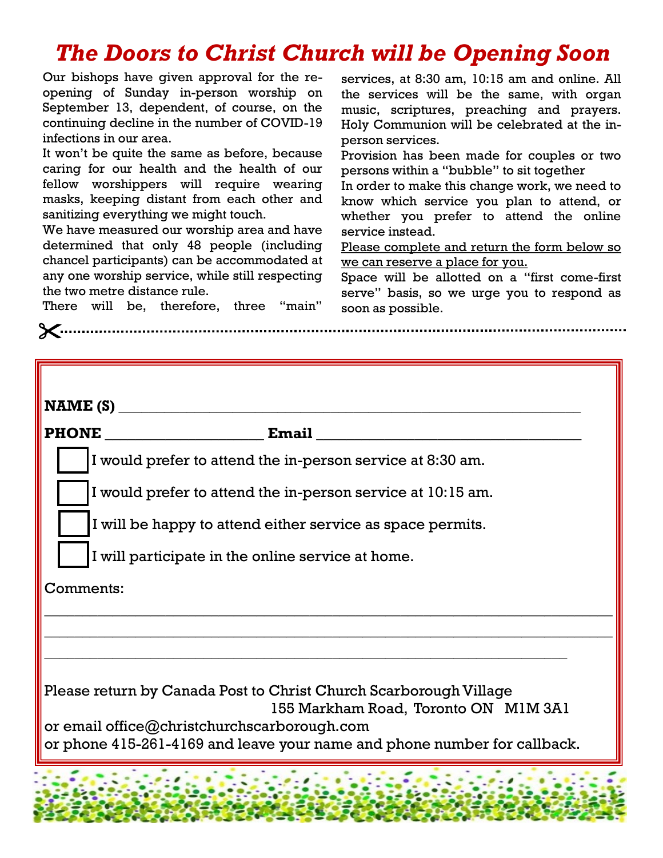# *The Doors to Christ Church will be Opening Soon*

Our bishops have given approval for the reopening of Sunday in-person worship on September 13, dependent, of course, on the continuing decline in the number of COVID-19 infections in our area.

It won't be quite the same as before, because caring for our health and the health of our fellow worshippers will require wearing masks, keeping distant from each other and sanitizing everything we might touch.

We have measured our worship area and have determined that only 48 people (including chancel participants) can be accommodated at any one worship service, while still respecting the two metre distance rule.

services, at 8:30 am, 10:15 am and online. All the services will be the same, with organ music, scriptures, preaching and prayers. Holy Communion will be celebrated at the inperson services.

Provision has been made for couples or two persons within a "bubble" to sit together

In order to make this change work, we need to know which service you plan to attend, or whether you prefer to attend the online service instead.

Please complete and return the form below so we can reserve a place for you.

Space will be allotted on a "first come-first serve" basis, so we urge you to respond as soon as possible.

There will be, therefore, three "main"

| NAME(S)                                                                                                                                                                                                                              |                                                             |
|--------------------------------------------------------------------------------------------------------------------------------------------------------------------------------------------------------------------------------------|-------------------------------------------------------------|
| <b>PHONE</b>                                                                                                                                                                                                                         | Email                                                       |
|                                                                                                                                                                                                                                      | I would prefer to attend the in-person service at 8:30 am.  |
|                                                                                                                                                                                                                                      | I would prefer to attend the in-person service at 10:15 am. |
|                                                                                                                                                                                                                                      | I will be happy to attend either service as space permits.  |
|                                                                                                                                                                                                                                      | I will participate in the online service at home.           |
| Comments:                                                                                                                                                                                                                            |                                                             |
|                                                                                                                                                                                                                                      |                                                             |
|                                                                                                                                                                                                                                      |                                                             |
| Please return by Canada Post to Christ Church Scarborough Village<br>155 Markham Road, Toronto ON M1M 3A1<br>or email office@christchurchscarborough.com<br>or phone 415-261-4169 and leave your name and phone number for callback. |                                                             |
|                                                                                                                                                                                                                                      |                                                             |
|                                                                                                                                                                                                                                      |                                                             |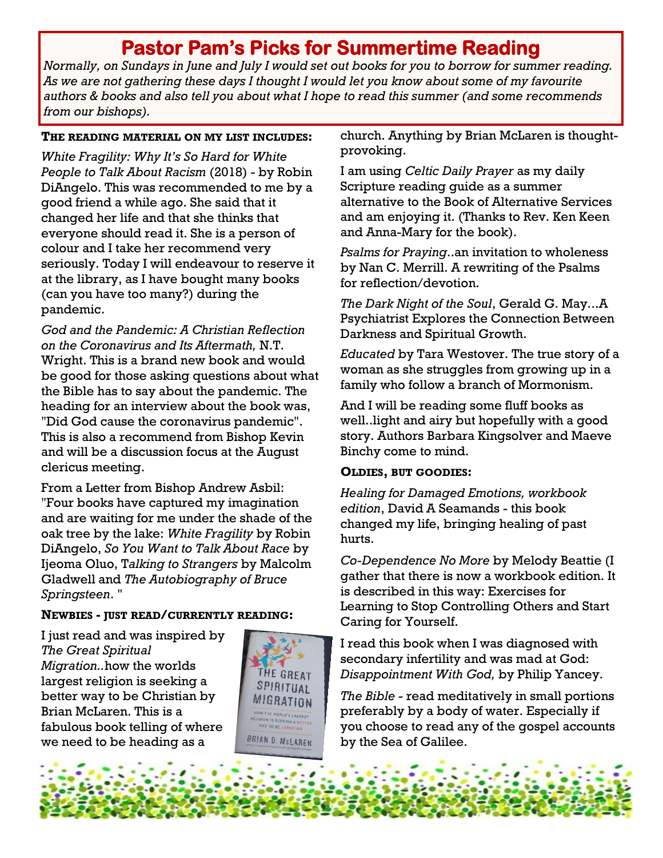# **Pastor Pam's Picks for Summertime Reading**

*Normally, on Sundays in June and July I would set out books for you to borrow for summer reading. As we are not gathering these days I thought I would let you know about some of my favourite authors & books and also tell you about what I hope to read this summer (and some recommends from our bishops).* 

#### **THE READING MATERIAL ON MY LIST INCLUDES:**

*White Fragility: Why It's So Hard for White People to Talk About Racism* (2018) - by Robin DiAngelo. This was recommended to me by a good friend a while ago. She said that it changed her life and that she thinks that everyone should read it. She is a person of colour and I take her recommend very seriously. Today I will endeavour to reserve it at the library, as I have bought many books (can you have too many?) during the pandemic.

*God and the Pandemic: A Christian Reflection on the Coronavirus and Its Aftermath,* N.T. Wright. This is a brand new book and would be good for those asking questions about what the Bible has to say about the pandemic. The heading for an interview about the book was, "Did God cause the coronavirus pandemic". This is also a recommend from Bishop Kevin and will be a discussion focus at the August clericus meeting.

From a Letter from Bishop Andrew Asbil: "Four books have captured my imagination and are waiting for me under the shade of the oak tree by the lake: *White Fragility* by Robin DiAngelo, *So You Want to Talk About Race* by Ijeoma Oluo, T*alking to Strangers* by Malcolm Gladwell and *The Autobiography of Bruce Springsteen*. "

#### **NEWBIES - JUST READ/CURRENTLY READING:**

I just read and was inspired by *The Great Spiritual Migration..*how the worlds largest religion is seeking a better way to be Christian by Brian McLaren. This is a fabulous book telling of where we need to be heading as a



church. Anything by Brian McLaren is thoughtprovoking.

I am using *Celtic Daily Prayer* as my daily Scripture reading guide as a summer alternative to the Book of Alternative Services and am enjoying it. (Thanks to Rev. Ken Keen and Anna-Mary for the book).

*Psalms for Praying*..an invitation to wholeness by Nan C. Merrill. A rewriting of the Psalms for reflection/devotion.

*The Dark Night of the Soul*, Gerald G. May...A Psychiatrist Explores the Connection Between Darkness and Spiritual Growth.

*Educated* by Tara Westover. The true story of a woman as she struggles from growing up in a family who follow a branch of Mormonism.

And I will be reading some fluff books as well..light and airy but hopefully with a good story. Authors Barbara Kingsolver and Maeve Binchy come to mind.

#### **OLDIES, BUT GOODIES:**

*Healing for Damaged Emotions, workbook edition*, David A Seamands - this book changed my life, bringing healing of past hurts.

*Co-Dependence No More* by Melody Beattie (I gather that there is now a workbook edition. It is described in this way: Exercises for Learning to Stop Controlling Others and Start Caring for Yourself.

I read this book when I was diagnosed with secondary infertility and was mad at God: *Disappointment With God,* by Philip Yancey.

*The Bible* - read meditatively in small portions preferably by a body of water. Especially if you choose to read any of the gospel accounts by the Sea of Galilee.